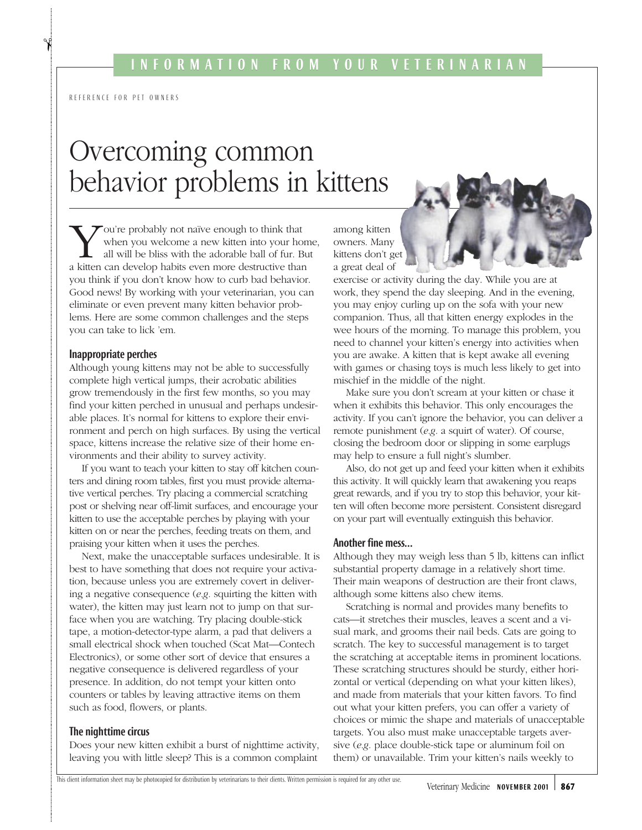REFERENCE FOR PET OWNERS

 $\lambda$ 

# Overcoming common behavior problems in kittens

ou're probably not naïve enough to think that when you welcome a new kitten into your home, all will be bliss with the adorable ball of fur. But a kitten can develop habits even more destructive than you think if you don't know how to curb bad behavior. Good news! By working with your veterinarian, you can eliminate or even prevent many kitten behavior problems. Here are some common challenges and the steps you can take to lick 'em.

### Inappropriate perches

Although young kittens may not be able to successfully complete high vertical jumps, their acrobatic abilities grow tremendously in the first few months, so you may find your kitten perched in unusual and perhaps undesirable places. It's normal for kittens to explore their environment and perch on high surfaces. By using the vertical space, kittens increase the relative size of their home environments and their ability to survey activity.

If you want to teach your kitten to stay off kitchen counters and dining room tables, first you must provide alternative vertical perches. Try placing a commercial scratching post or shelving near off-limit surfaces, and encourage your kitten to use the acceptable perches by playing with your kitten on or near the perches, feeding treats on them, and praising your kitten when it uses the perches.

Next, make the unacceptable surfaces undesirable. It is best to have something that does not require your activation, because unless you are extremely covert in delivering a negative consequence (*e.g.* squirting the kitten with water), the kitten may just learn not to jump on that surface when you are watching. Try placing double-stick tape, a motion-detector-type alarm, a pad that delivers a small electrical shock when touched (Scat Mat—Contech Electronics), or some other sort of device that ensures a negative consequence is delivered regardless of your presence. In addition, do not tempt your kitten onto counters or tables by leaving attractive items on them such as food, flowers, or plants.

## The nighttime circus

Does your new kitten exhibit a burst of nighttime activity, leaving you with little sleep? This is a common complaint

among kitten owners. Many kittens don't get a great deal of



exercise or activity during the day. While you are at work, they spend the day sleeping. And in the evening, you may enjoy curling up on the sofa with your new companion. Thus, all that kitten energy explodes in the wee hours of the morning. To manage this problem, you need to channel your kitten's energy into activities when you are awake. A kitten that is kept awake all evening with games or chasing toys is much less likely to get into mischief in the middle of the night.

Make sure you don't scream at your kitten or chase it when it exhibits this behavior. This only encourages the activity. If you can't ignore the behavior, you can deliver a remote punishment (*e.g.* a squirt of water). Of course, closing the bedroom door or slipping in some earplugs may help to ensure a full night's slumber.

Also, do not get up and feed your kitten when it exhibits this activity. It will quickly learn that awakening you reaps great rewards, and if you try to stop this behavior, your kitten will often become more persistent. Consistent disregard on your part will eventually extinguish this behavior.

#### Another fine mess…

Although they may weigh less than 5 lb, kittens can inflict substantial property damage in a relatively short time. Their main weapons of destruction are their front claws, although some kittens also chew items.

Scratching is normal and provides many benefits to cats—it stretches their muscles, leaves a scent and a visual mark, and grooms their nail beds. Cats are going to scratch. The key to successful management is to target the scratching at acceptable items in prominent locations. These scratching structures should be sturdy, either horizontal or vertical (depending on what your kitten likes), and made from materials that your kitten favors. To find out what your kitten prefers, you can offer a variety of choices or mimic the shape and materials of unacceptable targets. You also must make unacceptable targets aversive (*e.g.* place double-stick tape or aluminum foil on them) or unavailable. Trim your kitten's nails weekly to